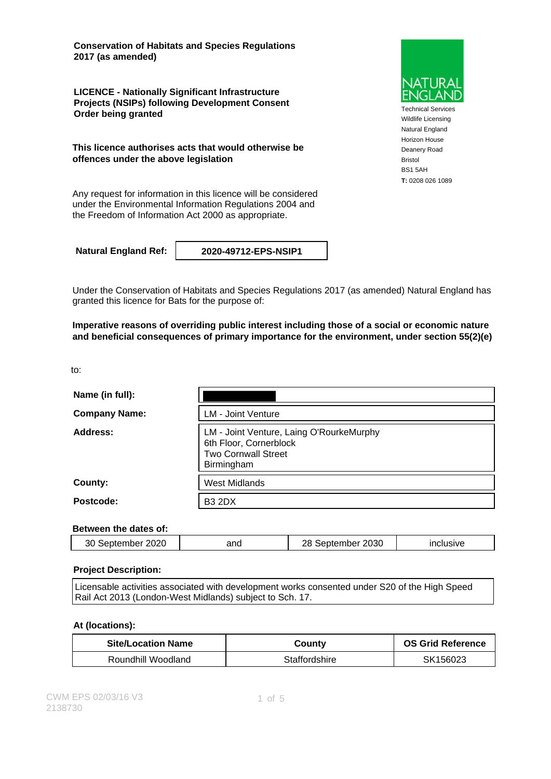**Conservation of Habitats and Species Regulations 2017 (as amended)**

**LICENCE - Nationally Significant Infrastructure Projects (NSIPs) following Development Consent Order being granted**

**This licence authorises acts that would otherwise be offences under the above legislation**

Any request for information in this licence will be considered under the Environmental Information Regulations 2004 and the Freedom of Information Act 2000 as appropriate.

**Natural England Ref: 2020-49712-EPS-NSIP1**

Under the Conservation of Habitats and Species Regulations 2017 (as amended) Natural England has granted this licence for Bats for the purpose of:

**Imperative reasons of overriding public interest including those of a social or economic nature and beneficial consequences of primary importance for the environment, under section 55(2)(e)**

to:

| Name (in full):      |                                                                                                                |
|----------------------|----------------------------------------------------------------------------------------------------------------|
| <b>Company Name:</b> | <b>LM - Joint Venture</b>                                                                                      |
| Address:             | LM - Joint Venture, Laing O'RourkeMurphy<br>6th Floor, Cornerblock<br><b>Two Cornwall Street</b><br>Birmingham |
| County:              | <b>West Midlands</b>                                                                                           |
| Postcode:            | <b>B3 2DX</b>                                                                                                  |

### **Between the dates of:**

| 2020<br>2030<br>30<br>סכ<br>September<br>and<br>eptember<br>inclusive |  |  |  |  |
|-----------------------------------------------------------------------|--|--|--|--|
|-----------------------------------------------------------------------|--|--|--|--|

#### **Project Description:**

Licensable activities associated with development works consented under S20 of the High Speed Rail Act 2013 (London-West Midlands) subject to Sch. 17.

#### **At (locations):**

| <b>Site/Location Name</b> | County        | <b>OS Grid Reference</b> |
|---------------------------|---------------|--------------------------|
| Roundhill Woodland        | Staffordshire | SK156023                 |



Technical Services Wildlife Licensing Natural England Horizon House Deanery Road Bristol BS1 5AH **T:** 0208 026 1089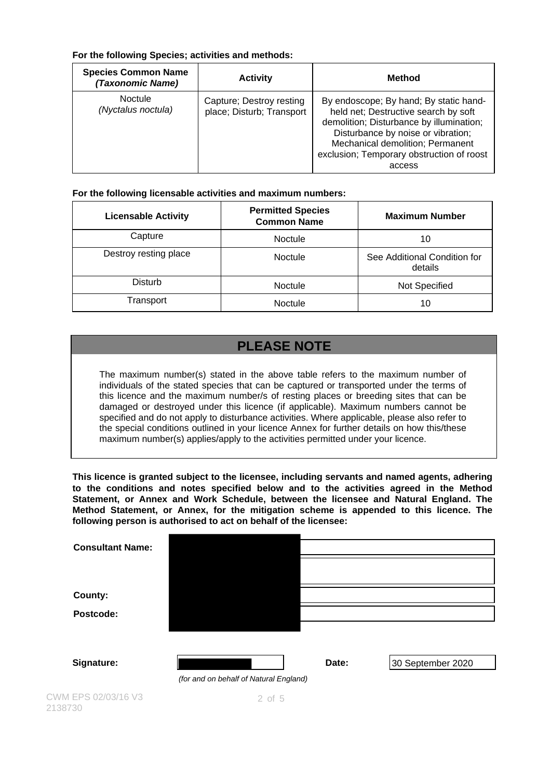### **For the following Species; activities and methods:**

| <b>Species Common Name</b><br>(Taxonomic Name) | <b>Activity</b>                                       | <b>Method</b>                                                                                                                                                                                                                                               |
|------------------------------------------------|-------------------------------------------------------|-------------------------------------------------------------------------------------------------------------------------------------------------------------------------------------------------------------------------------------------------------------|
| <b>Noctule</b><br>(Nyctalus noctula)           | Capture; Destroy resting<br>place; Disturb; Transport | By endoscope; By hand; By static hand-<br>held net; Destructive search by soft<br>demolition; Disturbance by illumination;<br>Disturbance by noise or vibration;<br>Mechanical demolition; Permanent<br>exclusion; Temporary obstruction of roost<br>access |

### **For the following licensable activities and maximum numbers:**

| <b>Licensable Activity</b> | <b>Permitted Species</b><br><b>Common Name</b> | <b>Maximum Number</b>                   |
|----------------------------|------------------------------------------------|-----------------------------------------|
| Capture                    | Noctule                                        | 10                                      |
| Destroy resting place      | <b>Noctule</b>                                 | See Additional Condition for<br>details |
| <b>Disturb</b>             | <b>Noctule</b>                                 | Not Specified                           |
| Transport                  | <b>Noctule</b>                                 | 10                                      |

# **PLEASE NOTE**

The maximum number(s) stated in the above table refers to the maximum number of individuals of the stated species that can be captured or transported under the terms of this licence and the maximum number/s of resting places or breeding sites that can be damaged or destroyed under this licence (if applicable). Maximum numbers cannot be specified and do not apply to disturbance activities. Where applicable, please also refer to the special conditions outlined in your licence Annex for further details on how this/these maximum number(s) applies/apply to the activities permitted under your licence.

**This licence is granted subject to the licensee, including servants and named agents, adhering to the conditions and notes specified below and to the activities agreed in the Method Statement, or Annex and Work Schedule, between the licensee and Natural England. The Method Statement, or Annex, for the mitigation scheme is appended to this licence. The following person is authorised to act on behalf of the licensee:**

| <b>Consultant Name:</b>        |                                        |       |                   |
|--------------------------------|----------------------------------------|-------|-------------------|
|                                |                                        |       |                   |
|                                |                                        |       |                   |
| County:                        |                                        |       |                   |
| Postcode:                      |                                        |       |                   |
|                                |                                        |       |                   |
|                                |                                        |       |                   |
| Signature:                     |                                        | Date: | 30 September 2020 |
|                                | (for and on behalf of Natural England) |       |                   |
| CWM EPS 02/03/16 V3<br>2138730 | $2$ of $5$                             |       |                   |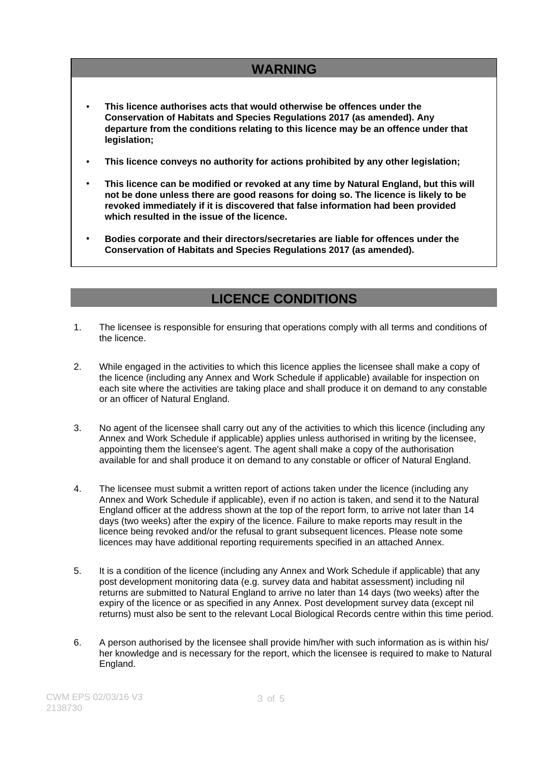# **WARNING**

- **This licence authorises acts that would otherwise be offences under the Conservation of Habitats and Species Regulations 2017 (as amended). Any departure from the conditions relating to this licence may be an offence under that legislation;**
- **This licence conveys no authority for actions prohibited by any other legislation;**
- **This licence can be modified or revoked at any time by Natural England, but this will not be done unless there are good reasons for doing so. The licence is likely to be revoked immediately if it is discovered that false information had been provided which resulted in the issue of the licence.**
- **Bodies corporate and their directors/secretaries are liable for offences under the Conservation of Habitats and Species Regulations 2017 (as amended).**

## **LICENCE CONDITIONS**

- 1. The licensee is responsible for ensuring that operations comply with all terms and conditions of the licence.
- 2. While engaged in the activities to which this licence applies the licensee shall make a copy of the licence (including any Annex and Work Schedule if applicable) available for inspection on each site where the activities are taking place and shall produce it on demand to any constable or an officer of Natural England.
- 3. No agent of the licensee shall carry out any of the activities to which this licence (including any Annex and Work Schedule if applicable) applies unless authorised in writing by the licensee, appointing them the licensee's agent. The agent shall make a copy of the authorisation available for and shall produce it on demand to any constable or officer of Natural England.
- 4. The licensee must submit a written report of actions taken under the licence (including any Annex and Work Schedule if applicable), even if no action is taken, and send it to the Natural England officer at the address shown at the top of the report form, to arrive not later than 14 days (two weeks) after the expiry of the licence. Failure to make reports may result in the licence being revoked and/or the refusal to grant subsequent licences. Please note some licences may have additional reporting requirements specified in an attached Annex.
- 5. It is a condition of the licence (including any Annex and Work Schedule if applicable) that any post development monitoring data (e.g. survey data and habitat assessment) including nil returns are submitted to Natural England to arrive no later than 14 days (two weeks) after the expiry of the licence or as specified in any Annex. Post development survey data (except nil returns) must also be sent to the relevant Local Biological Records centre within this time period.
- 6. A person authorised by the licensee shall provide him/her with such information as is within his/ her knowledge and is necessary for the report, which the licensee is required to make to Natural England.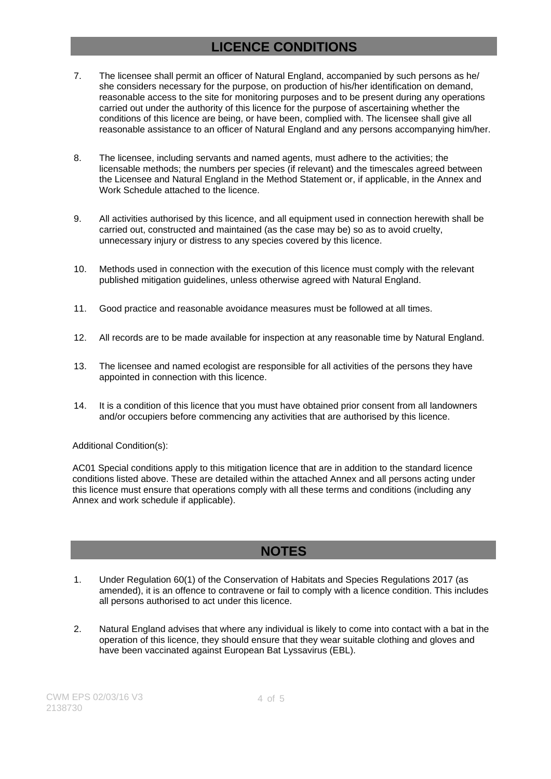## **LICENCE CONDITIONS**

- 7. The licensee shall permit an officer of Natural England, accompanied by such persons as he/ she considers necessary for the purpose, on production of his/her identification on demand, reasonable access to the site for monitoring purposes and to be present during any operations carried out under the authority of this licence for the purpose of ascertaining whether the conditions of this licence are being, or have been, complied with. The licensee shall give all reasonable assistance to an officer of Natural England and any persons accompanying him/her.
- 8. The licensee, including servants and named agents, must adhere to the activities; the licensable methods; the numbers per species (if relevant) and the timescales agreed between the Licensee and Natural England in the Method Statement or, if applicable, in the Annex and Work Schedule attached to the licence.
- 9. All activities authorised by this licence, and all equipment used in connection herewith shall be carried out, constructed and maintained (as the case may be) so as to avoid cruelty, unnecessary injury or distress to any species covered by this licence.
- 10. Methods used in connection with the execution of this licence must comply with the relevant published mitigation guidelines, unless otherwise agreed with Natural England.
- 11. Good practice and reasonable avoidance measures must be followed at all times.
- 12. All records are to be made available for inspection at any reasonable time by Natural England.
- 13. The licensee and named ecologist are responsible for all activities of the persons they have appointed in connection with this licence.
- 14. It is a condition of this licence that you must have obtained prior consent from all landowners and/or occupiers before commencing any activities that are authorised by this licence.

### Additional Condition(s):

AC01 Special conditions apply to this mitigation licence that are in addition to the standard licence conditions listed above. These are detailed within the attached Annex and all persons acting under this licence must ensure that operations comply with all these terms and conditions (including any Annex and work schedule if applicable).

### **NOTES**

- 1. Under Regulation 60(1) of the Conservation of Habitats and Species Regulations 2017 (as amended), it is an offence to contravene or fail to comply with a licence condition. This includes all persons authorised to act under this licence.
- 2. Natural England advises that where any individual is likely to come into contact with a bat in the operation of this licence, they should ensure that they wear suitable clothing and gloves and have been vaccinated against European Bat Lyssavirus (EBL).